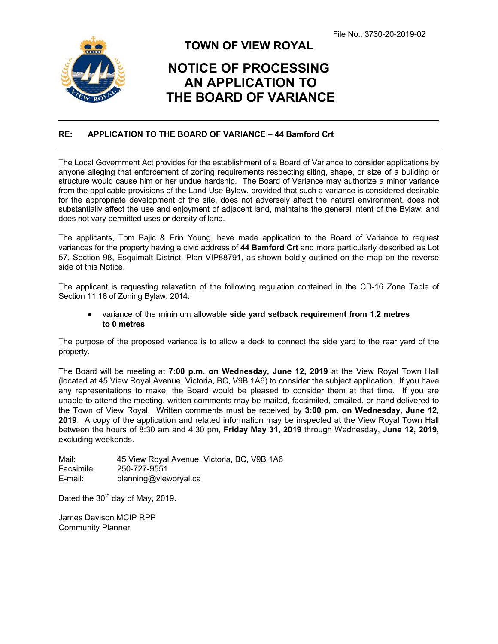

ı

## **TOWN OF VIEW ROYAL**

## **NOTICE OF PROCESSING AN APPLICATION TO THE BOARD OF VARIANCE**

## **RE: APPLICATION TO THE BOARD OF VARIANCE – 44 Bamford Crt**

The Local Government Act provides for the establishment of a Board of Variance to consider applications by anyone alleging that enforcement of zoning requirements respecting siting, shape, or size of a building or structure would cause him or her undue hardship. The Board of Variance may authorize a minor variance from the applicable provisions of the Land Use Bylaw, provided that such a variance is considered desirable for the appropriate development of the site, does not adversely affect the natural environment, does not substantially affect the use and enjoyment of adjacent land, maintains the general intent of the Bylaw, and does not vary permitted uses or density of land.

The applicants, Tom Bajic & Erin Young, have made application to the Board of Variance to request variances for the property having a civic address of **44 Bamford Crt** and more particularly described as Lot 57, Section 98, Esquimalt District, Plan VIP88791, as shown boldly outlined on the map on the reverse side of this Notice.

The applicant is requesting relaxation of the following regulation contained in the CD-16 Zone Table of Section 11.16 of Zoning Bylaw, 2014:

 variance of the minimum allowable **side yard setback requirement from 1.2 metres to 0 metres**

The purpose of the proposed variance is to allow a deck to connect the side yard to the rear yard of the property.

The Board will be meeting at **7:00 p.m. on Wednesday, June 12, 2019** at the View Royal Town Hall (located at 45 View Royal Avenue, Victoria, BC, V9B 1A6) to consider the subject application. If you have any representations to make, the Board would be pleased to consider them at that time. If you are unable to attend the meeting, written comments may be mailed, facsimiled, emailed, or hand delivered to the Town of View Royal. Written comments must be received by **3:00 pm. on Wednesday, June 12, 2019**. A copy of the application and related information may be inspected at the View Royal Town Hall between the hours of 8:30 am and 4:30 pm, **Friday May 31, 2019** through Wednesday, **June 12, 2019**, excluding weekends.

Mail: 45 View Royal Avenue, Victoria, BC, V9B 1A6 Facsimile: 250-727-9551 E-mail: planning@vieworyal.ca

Dated the  $30<sup>th</sup>$  day of May, 2019.

James Davison MCIP RPP Community Planner